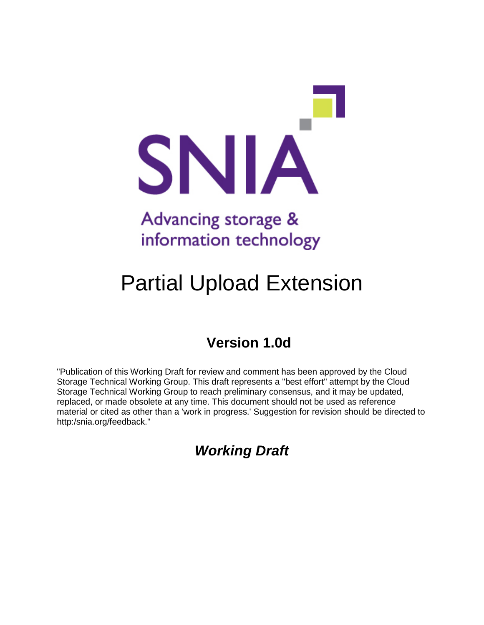

# Partial Upload Extension

## **Version 1.0d**

"Publication of this Working Draft for review and comment has been approved by the Cloud Storage Technical Working Group. This draft represents a "best effort" attempt by the Cloud Storage Technical Working Group to reach preliminary consensus, and it may be updated, replaced, or made obsolete at any time. This document should not be used as reference material or cited as other than a 'work in progress.' Suggestion for revision should be directed to http:/snia.org/feedback."

*Working Draft*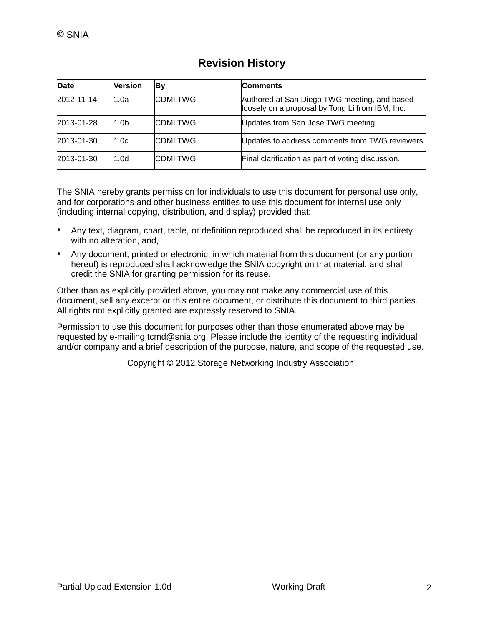| Date       | Version          | By             | <b>Comments</b>                                                                                 |
|------------|------------------|----------------|-------------------------------------------------------------------------------------------------|
| 2012-11-14 | 1.0a             | <b>CDMITWG</b> | Authored at San Diego TWG meeting, and based<br>loosely on a proposal by Tong Li from IBM, Inc. |
| 2013-01-28 | 1.0 <sub>b</sub> | <b>CDMITWG</b> | Updates from San Jose TWG meeting.                                                              |
| 2013-01-30 | 1.0c             | <b>CDMITWG</b> | Updates to address comments from TWG reviewers.                                                 |
| 2013-01-30 | 1.0d             | <b>CDMITWG</b> | Final clarification as part of voting discussion.                                               |

### **Revision History**

The SNIA hereby grants permission for individuals to use this document for personal use only, and for corporations and other business entities to use this document for internal use only (including internal copying, distribution, and display) provided that:

- Any text, diagram, chart, table, or definition reproduced shall be reproduced in its entirety with no alteration, and,
- Any document, printed or electronic, in which material from this document (or any portion hereof) is reproduced shall acknowledge the SNIA copyright on that material, and shall credit the SNIA for granting permission for its reuse.

Other than as explicitly provided above, you may not make any commercial use of this document, sell any excerpt or this entire document, or distribute this document to third parties. All rights not explicitly granted are expressly reserved to SNIA.

Permission to use this document for purposes other than those enumerated above may be requested by e-mailing tcmd@snia.org. Please include the identity of the requesting individual and/or company and a brief description of the purpose, nature, and scope of the requested use.

Copyright © 2012 Storage Networking Industry Association.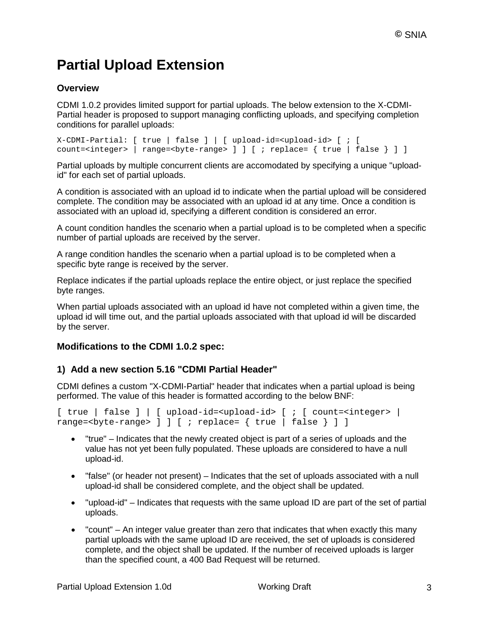## **Partial Upload Extension**

#### **Overview**

CDMI 1.0.2 provides limited support for partial uploads. The below extension to the X-CDMI-Partial header is proposed to support managing conflicting uploads, and specifying completion conditions for parallel uploads:

```
X-CDMI-Partial: [ true | false ] | [ upload-id=<upload-id> [ ; [ 
count=<integer> | range=<br/>>byte-range> ] ] [ ; replace= { true | false } ] ]
```
Partial uploads by multiple concurrent clients are accomodated by specifying a unique "uploadid" for each set of partial uploads.

A condition is associated with an upload id to indicate when the partial upload will be considered complete. The condition may be associated with an upload id at any time. Once a condition is associated with an upload id, specifying a different condition is considered an error.

A count condition handles the scenario when a partial upload is to be completed when a specific number of partial uploads are received by the server.

A range condition handles the scenario when a partial upload is to be completed when a specific byte range is received by the server.

Replace indicates if the partial uploads replace the entire object, or just replace the specified byte ranges.

When partial uploads associated with an upload id have not completed within a given time, the upload id will time out, and the partial uploads associated with that upload id will be discarded by the server.

#### **Modifications to the CDMI 1.0.2 spec:**

#### **1) Add a new section 5.16 "CDMI Partial Header"**

CDMI defines a custom "X-CDMI-Partial" header that indicates when a partial upload is being performed. The value of this header is formatted according to the below BNF:

```
[ true | false ] | [ upload-id=<upload-id> [ ; [ count=<integer> |range=<byte-range> ] ] [ ; replace= { true | false } ] ]
```
- "true" Indicates that the newly created object is part of a series of uploads and the value has not yet been fully populated. These uploads are considered to have a null upload-id.
- "false" (or header not present) Indicates that the set of uploads associated with a null upload-id shall be considered complete, and the object shall be updated.
- "upload-id" Indicates that requests with the same upload ID are part of the set of partial uploads.
- "count" An integer value greater than zero that indicates that when exactly this many partial uploads with the same upload ID are received, the set of uploads is considered complete, and the object shall be updated. If the number of received uploads is larger than the specified count, a 400 Bad Request will be returned.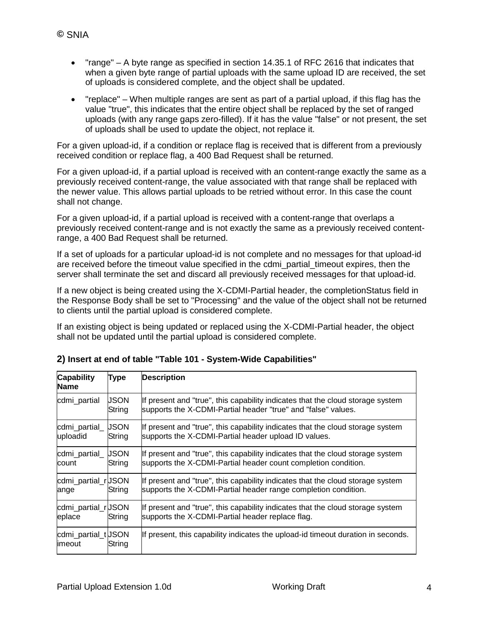- "range" A byte range as specified in section 14.35.1 of RFC 2616 that indicates that when a given byte range of partial uploads with the same upload ID are received, the set of uploads is considered complete, and the object shall be updated.
- "replace" When multiple ranges are sent as part of a partial upload, if this flag has the value "true", this indicates that the entire object shall be replaced by the set of ranged uploads (with any range gaps zero-filled). If it has the value "false" or not present, the set of uploads shall be used to update the object, not replace it.

For a given upload-id, if a condition or replace flag is received that is different from a previously received condition or replace flag, a 400 Bad Request shall be returned.

For a given upload-id, if a partial upload is received with an content-range exactly the same as a previously received content-range, the value associated with that range shall be replaced with the newer value. This allows partial uploads to be retried without error. In this case the count shall not change.

For a given upload-id, if a partial upload is received with a content-range that overlaps a previously received content-range and is not exactly the same as a previously received contentrange, a 400 Bad Request shall be returned.

If a set of uploads for a particular upload-id is not complete and no messages for that upload-id are received before the timeout value specified in the cdmi\_partial\_timeout expires, then the server shall terminate the set and discard all previously received messages for that upload-id.

If a new object is being created using the X-CDMI-Partial header, the completionStatus field in the Response Body shall be set to "Processing" and the value of the object shall not be returned to clients until the partial upload is considered complete.

If an existing object is being updated or replaced using the X-CDMI-Partial header, the object shall not be updated until the partial upload is considered complete.

| <b>Capability</b><br><b>Name</b> | <b>Type</b>           | <b>Description</b>                                                                                                                               |  |
|----------------------------------|-----------------------|--------------------------------------------------------------------------------------------------------------------------------------------------|--|
| cdmi_partial                     | USON<br>String        | If present and "true", this capability indicates that the cloud storage system<br>supports the X-CDMI-Partial header "true" and "false" values.  |  |
| cdmi_partial_<br>uploadid        | JSON<br>String        | If present and "true", this capability indicates that the cloud storage system<br>supports the X-CDMI-Partial header upload ID values.           |  |
| cdmi_partial_<br>count           | <b>JSON</b><br>String | If present and "true", this capability indicates that the cloud storage system<br>supports the X-CDMI-Partial header count completion condition. |  |
| cdmi_partial_rUSON<br>ange       | String                | If present and "true", this capability indicates that the cloud storage system<br>supports the X-CDMI-Partial header range completion condition. |  |
| cdmi_partial_rUSON<br>eplace     | String                | If present and "true", this capability indicates that the cloud storage system<br>supports the X-CDMI-Partial header replace flag.               |  |
| cdmi_partial_tUSON<br>limeout    | String                | If present, this capability indicates the upload-id timeout duration in seconds.                                                                 |  |

#### **2) Insert at end of table "Table 101 - System-Wide Capabilities"**